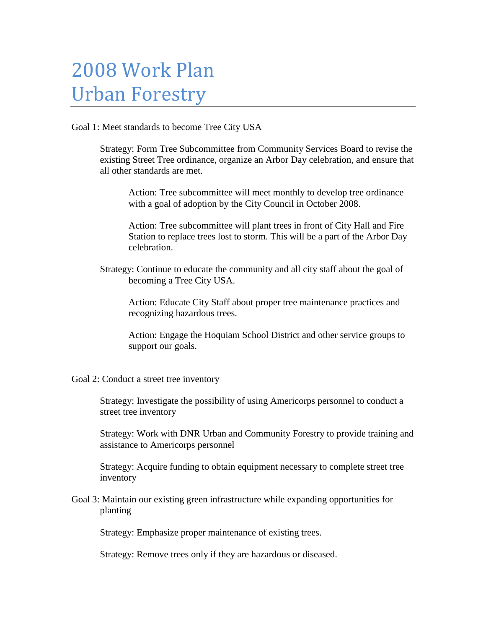## 2008 Work Plan Urban Forestry

Goal 1: Meet standards to become Tree City USA

Strategy: Form Tree Subcommittee from Community Services Board to revise the existing Street Tree ordinance, organize an Arbor Day celebration, and ensure that all other standards are met.

Action: Tree subcommittee will meet monthly to develop tree ordinance with a goal of adoption by the City Council in October 2008.

Action: Tree subcommittee will plant trees in front of City Hall and Fire Station to replace trees lost to storm. This will be a part of the Arbor Day celebration.

Strategy: Continue to educate the community and all city staff about the goal of becoming a Tree City USA.

Action: Educate City Staff about proper tree maintenance practices and recognizing hazardous trees.

Action: Engage the Hoquiam School District and other service groups to support our goals.

Goal 2: Conduct a street tree inventory

Strategy: Investigate the possibility of using Americorps personnel to conduct a street tree inventory

Strategy: Work with DNR Urban and Community Forestry to provide training and assistance to Americorps personnel

Strategy: Acquire funding to obtain equipment necessary to complete street tree inventory

Goal 3: Maintain our existing green infrastructure while expanding opportunities for planting

Strategy: Emphasize proper maintenance of existing trees.

Strategy: Remove trees only if they are hazardous or diseased.